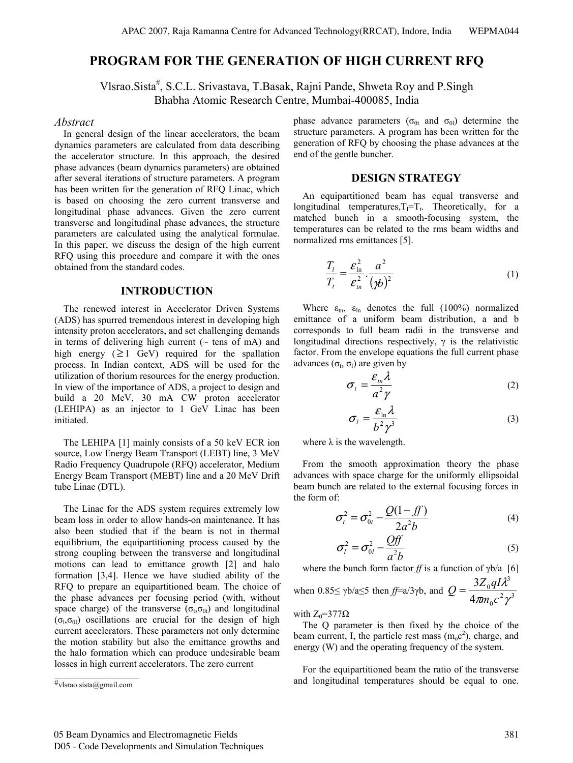# **PROGRAM FOR THE GENERATION OF HIGH CURRENT RFQ**

Vlsrao.Sista<sup>#</sup>, S.C.L. Srivastava, T.Basak, Rajni Pande, Shweta Roy and P.Singh Bhabha Atomic Research Centre, Mumbai-400085, India

#### *Abstract*

In general design of the linear accelerators, the beam dynamics parameters are calculated from data describing the accelerator structure. In this approach, the desired phase advances (beam dynamics parameters) are obtained after several iterations of structure parameters. A program has been written for the generation of RFQ Linac, which is based on choosing the zero current transverse and longitudinal phase advances. Given the zero current transverse and longitudinal phase advances, the structure parameters are calculated using the analytical formulae. In this paper, we discuss the design of the high current RFQ using this procedure and compare it with the ones obtained from the standard codes.

### **INTRODUCTION**

The renewed interest in Accclerator Driven Systems (ADS) has spurred tremendous interest in developing high intensity proton accelerators, and set challenging demands in terms of delivering high current ( $\sim$  tens of mA) and high energy ( $\geq$ 1 GeV) required for the spallation process. In Indian context, ADS will be used for the utilization of thorium resources for the energy production. In view of the importance of ADS, a project to design and build a 20 MeV, 30 mA CW proton accelerator (LEHIPA) as an injector to 1 GeV Linac has been initiated.

The LEHIPA [1] mainly consists of a 50 keV ECR ion source, Low Energy Beam Transport (LEBT) line, 3 MeV Radio Frequency Quadrupole (RFQ) accelerator, Medium Energy Beam Transport (MEBT) line and a 20 MeV Drift tube Linac (DTL).

The Linac for the ADS system requires extremely low beam loss in order to allow hands-on maintenance. It has also been studied that if the beam is not in thermal equilibrium, the equipartitioning process caused by the strong coupling between the transverse and longitudinal motions can lead to emittance growth [2] and halo formation [3,4]. Hence we have studied ability of the RFQ to prepare an equipartitioned beam. The choice of the phase advances per focusing period (with, without space charge) of the transverse ( $\sigma_t$ , $\sigma_{0t}$ ) and longitudinal  $(\sigma_1, \sigma_0)$  oscillations are crucial for the design of high current accelerators. These parameters not only determine the motion stability but also the emittance growths and the halo formation which can produce undesirable beam losses in high current accelerators. The zero current

phase advance parameters ( $\sigma_{0t}$  and  $\sigma_{0l}$ ) determine the structure parameters. A program has been written for the generation of RFQ by choosing the phase advances at the end of the gentle buncher.

#### **DESIGN STRATEGY**

An equipartitioned beam has equal transverse and longitudinal temperatures, $T_1 = T_t$ . Theoretically, for a matched bunch in a smooth-focusing system, the temperatures can be related to the rms beam widths and normalized rms emittances [5].

$$
\frac{T_l}{T_t} = \frac{\varepsilon_{\ln}^2}{\varepsilon_m^2} \cdot \frac{a^2}{(\varkappa)^2}
$$
\n(1)

Where  $\varepsilon_{\text{tn}}$ ,  $\varepsilon_{\text{ln}}$  denotes the full (100%) normalized emittance of a uniform beam distribution, a and b corresponds to full beam radii in the transverse and longitudinal directions respectively,  $\gamma$  is the relativistic factor. From the envelope equations the full current phase advances  $(\sigma_t, \sigma_l)$  are given by

$$
\sigma_t = \frac{\varepsilon_m \lambda}{a^2 \gamma} \tag{2}
$$

$$
\sigma_l = \frac{\varepsilon_{\ln} \lambda}{b^2 \gamma^3} \tag{3}
$$

where  $\lambda$  is the wavelength.

From the smooth approximation theory the phase advances with space charge for the uniformly ellipsoidal beam bunch are related to the external focusing forces in the form of:

$$
\sigma_t^2 = \sigma_{0t}^2 - \frac{Q(1 - ff)}{2a^2b}
$$
 (4)

$$
\sigma_l^2 = \sigma_{0l}^2 - \frac{Qff}{a^2b} \tag{5}
$$

where the bunch form factor *ff* is a function of γb/a [6] when  $0.85 \le \gamma b/a \le 5$  then  $f = a/3\gamma b$ , and  $Q = \frac{1}{4\pi a a^2 a^3}$ 0 3 0 4 3  $\pi m_{\scriptscriptstyle 0} c^{\scriptscriptstyle -} \gamma$ λ  $m_0 c$  $Q = \frac{3Z_0 qI}{4}$ 

with  $Z_0=377\Omega$ 

The Q parameter is then fixed by the choice of the beam current, I, the particle rest mass  $(m_0c^2)$ , charge, and energy (W) and the operating frequency of the system.

For the equipartitioned beam the ratio of the transverse and longitudinal temperatures should be equal to one.

 $\overline{\mathscr{H}}_{\text{V}lsrao.sista}$ @gmail.com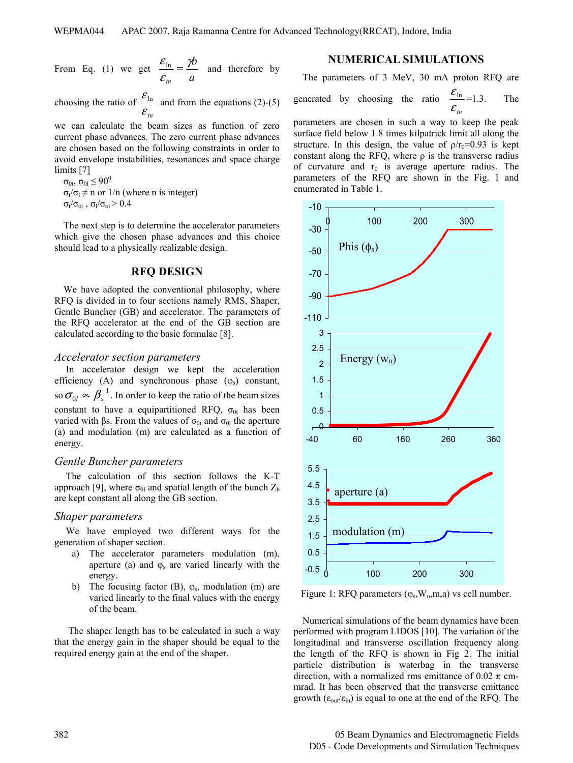From Eq. (1) we get 
$$
\frac{\varepsilon_{\text{ln}}}{\varepsilon_m} = \frac{\gamma b}{a}
$$
 and therefore by

choosing the ratio of  $\frac{\mathcal{E}_{\text{ln}}}{\text{d}t}$  and from the equations (2)-(5)  $\varepsilon$ <sub>tn</sub>

we can calculate the beam sizes as function of zero current phase advances. The zero current phase advances are chosen based on the following constraints in order to avoid envelope instabilities, resonances and space charge limits [7]

 $\sigma_{0t}$ ,  $\sigma_{0l}$   $\leq$   $90^0$  $\sigma_t/\sigma_l \neq n$  or  $1/n$  (where n is integer)  $\sigma_t/\sigma_{ot}$ ,  $\sigma_l/\sigma_{ol} > 0.4$ 

The next step is to determine the accelerator parameters which give the chosen phase advances and this choice should lead to a physically realizable design.

#### **RFQ DESIGN**

We have adopted the conventional philosophy, where RFQ is divided in to four sections namely RMS, Shaper, Gentle Buncher (GB) and accelerator. The parameters of the RFQ accelerator at the end of the GB section are calculated according to the basic formulae [8].

#### *Accelerator section parameters*

 In accelerator design we kept the acceleration efficiency (A) and synchronous phase  $(\varphi_s)$  constant, so  $\sigma_{0} \propto \beta_{s}^{-1}$  $\sigma_{0l} \propto \beta_s^{-1}$ . In order to keep the ratio of the beam sizes constant to have a equipartitioned RFQ,  $\sigma_{0t}$  has been varied with βs. From the values of  $σ_{0t}$  and  $σ_{0l}$  the aperture (a) and modulation (m) are calculated as a function of energy.

#### *Gentle Buncher parameters*

 The calculation of this section follows the K-T approach [9], where  $\sigma_{0l}$  and spatial length of the bunch  $Z_b$ are kept constant all along the GB section.

#### *Shaper parameters*

 We have employed two different ways for the generation of shaper section.

- a) The accelerator parameters modulation (m), aperture (a) and  $\varphi_s$  are varied linearly with the energy.
- b) The focusing factor (B),  $\varphi_s$ , modulation (m) are varied linearly to the final values with the energy of the beam.

 The shaper length has to be calculated in such a way that the energy gain in the shaper should be equal to the required energy gain at the end of the shaper.

### **NUMERICAL SIMULATIONS**

The parameters of 3 MeV, 30 mA proton RFQ are

generated by choosing the ratio 
$$
\frac{\varepsilon_{\text{ln}}}{\varepsilon_{\text{m}}} = 1.3
$$
. The

parameters are chosen in such a way to keep the peak surface field below 1.8 times kilpatrick limit all along the structure. In this design, the value of  $\rho/r_0=0.93$  is kept constant along the RFQ, where  $\rho$  is the transverse radius of curvature and  $r_0$  is average aperture radius. The parameters of the RFQ are shown in the Fig. 1 and enumerated in Table 1.



Figure 1: RFQ parameters  $(\varphi_s, W_n, m, a)$  vs cell number.

Numerical simulations of the beam dynamics have been performed with program LIDOS [10]. The variation of the longitudinal and transverse oscillation frequency along the length of the RFQ is shown in Fig 2. The initial particle distribution is waterbag in the transverse direction, with a normalized rms emittance of 0.02  $\pi$  cmmrad. It has been observed that the transverse emittance growth  $(\epsilon_{out}/\epsilon_{in})$  is equal to one at the end of the RFQ. The